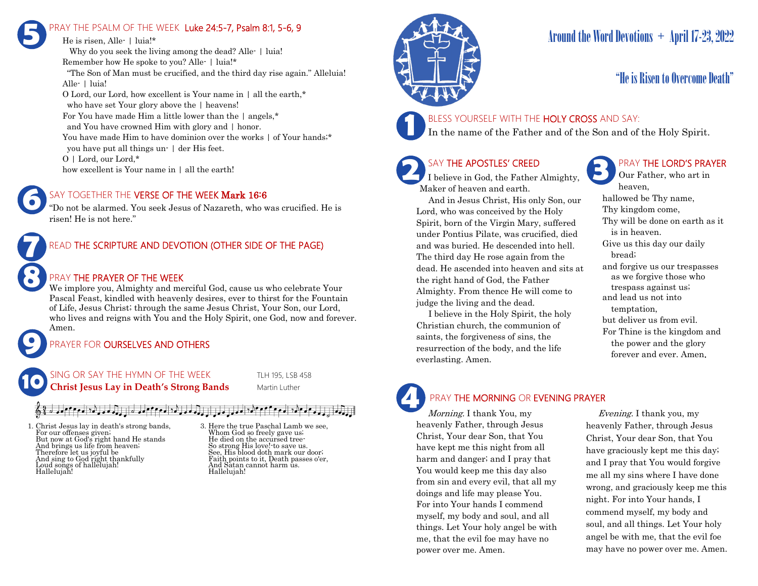## PRAY THE PSALM OF THE WEEK Luke 24:5-7, Psalm 8:1, 5-6, 9 **5**

He is risen, Alle- | luia!\* Why do you seek the living among the dead? Alle- | luia! Remember how He spoke to you? Alle- | luia!\* "The Son of Man must be crucified, and the third day rise again." Alleluia! Alle- | luia! O Lord, our Lord, how excellent is Your name in | all the earth,\* who have set Your glory above the | heavens! For You have made Him a little lower than the | angels,\* and You have crowned Him with glory and | honor. You have made Him to have dominion over the works  $\vert$  of Your hands;\* you have put all things un- | der His feet. O | Lord, our Lord,\* how excellent is Your name in  $\vert$  all the earth!

### SAY TOGETHER THE VERSE OF THE WEEK Mark 16:6

"Do not be alarmed. You seek Jesus of Nazareth, who was crucified. He is risen! He is not here."



**6**

**9**

### READ THE SCRIPTURE AND DEVOTION (OTHER SIDE OF THE PAGE)

### PRAY THE PRAYER OF THE WEEK

We implore you, Almighty and merciful God, cause us who celebrate Your Pascal Feast, kindled with heavenly desires, ever to thirst for the Fountain of Life, Jesus Christ; through the same Jesus Christ, Your Son, our Lord, who lives and reigns with You and the Holy Spirit, one God, now and forever. Amen.

### PRAYER FOR **OURSELVES AND OTHERS**



### $\sigma$  and  $\sigma$  and  $\sigma$  and  $\sigma$  and  $\sigma$  and  $\sigma$  and  $\sigma$  and  $\sigma$

1. Christ Jesus lay in death's strong bands, For our offenses given; But now at God's right hand He stands And brings us life from heaven; Therefore let us joyful be And sing to God right thankfully Loud songs of hallelujah! Hallelujah!

3. Here the true Paschal Lamb we see, Whom God so freely gave us; He died on the accursed tree-So strong His love!-to save us. See, His blood doth mark our door; Faith points to it, Death passes o'er, And Satan cannot harm us. Hallelujah!



# Around the Word Devotions + April 17-23, 2022

## "He is Risen to Overcome Death"

# **1**

BLESS YOURSELF WITH THE HOLY CROSS AND SAY:

In the name of the Father and of the Son and of the Holy Spirit.

### SAY THE APOSTLES' CREED

I believe in God, the Father Almighty, Maker of heaven and earth.

 And in Jesus Christ, His only Son, our Lord, who was conceived by the Holy Spirit, born of the Virgin Mary, suffered under Pontius Pilate, was crucified, died and was buried. He descended into hell. The third day He rose again from the dead. He ascended into heaven and sits at the right hand of God, the Father Almighty. From thence He will come to judge the living and the dead.

 I believe in the Holy Spirit, the holy Christian church, the communion of saints, the forgiveness of sins, the resurrection of the body, and the life everlasting. Amen.

### PRAY THE LORD'S PRAYER

Our Father, who art in heaven, hallowed be Thy name, Thy kingdom come, Thy will be done on earth as it is in heaven. Give us this day our daily bread; and forgive us our trespasses as we forgive those who trespass against us; and lead us not into temptation, but deliver us from evil. For Thine is the kingdom and the power and the glory forever and ever. Amen.

# **4**

PRAY THE MORNING OR EVENING PRAYER

Morning. I thank You, my heavenly Father, through Jesus Christ, Your dear Son, that You have kept me this night from all harm and danger; and I pray that You would keep me this day also from sin and every evil, that all my doings and life may please You. For into Your hands I commend myself, my body and soul, and all things. Let Your holy angel be with me, that the evil foe may have no power over me. Amen.

 Evening. I thank you, my heavenly Father, through Jesus Christ, Your dear Son, that You have graciously kept me this day; and I pray that You would forgive me all my sins where I have done wrong, and graciously keep me this night. For into Your hands, I commend myself, my body and soul, and all things. Let Your holy angel be with me, that the evil foe may have no power over me. Amen.